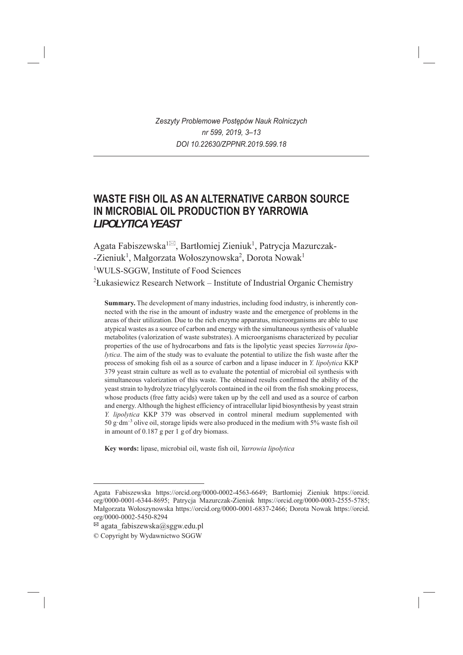*Zeszyty Problemowe PostĊpów Nauk Rolniczych nr 599, 2019, 3–13 DOI 10.22630/ZPPNR.2019.599.18*

# **WASTE FISH OIL AS AN ALTERNATIVE CARBON SOURCE IN MICROBIAL OIL PRODUCTION BY YARROWIA** *LIPOLYTICA YEAST*

Agata Fabiszewska<sup>1⊠</sup>, Bartłomiej Zieniuk<sup>1</sup>, Patrycja Mazurczak--Zieniuk<sup>1</sup>, Małgorzata Wołoszynowska<sup>2</sup>, Dorota Nowak<sup>1</sup> 1 WULS-SGGW, Institute of Food Sciences

 ${}^{2}$ Łukasiewicz Research Network – Institute of Industrial Organic Chemistry

**Summary.** The development of many industries, including food industry, is inherently connected with the rise in the amount of industry waste and the emergence of problems in the areas of their utilization. Due to the rich enzyme apparatus, microorganisms are able to use atypical wastes as a source of carbon and energy with the simultaneous synthesis of valuable metabolites (valorization of waste substrates). A microorganisms characterized by peculiar properties of the use of hydrocarbons and fats is the lipolytic yeast species *Yarrowia lipolytica*. The aim of the study was to evaluate the potential to utilize the fish waste after the process of smoking fish oil as a source of carbon and a lipase inducer in *Y. lipolytica* KKP 379 yeast strain culture as well as to evaluate the potential of microbial oil synthesis with simultaneous valorization of this waste. The obtained results confirmed the ability of the yeast strain to hydrolyze triacylglycerols contained in the oil from the fish smoking process, whose products (free fatty acids) were taken up by the cell and used as a source of carbon and energy. Although the highest efficiency of intracellular lipid biosynthesis by yeast strain *Y. lipolytica* KKP 379 was observed in control mineral medium supplemented with 50 g·dm<sup>-3</sup> olive oil, storage lipids were also produced in the medium with 5% waste fish oil in amount of 0.187 g per 1 g of dry biomass.

**Key words:** lipase, microbial oil, waste fish oil, *Yarrowia lipolytica*

Agata Fabiszewska https://orcid.org/0000-0002-4563-6649; Bartáomiej Zieniuk https://orcid. org/0000-0001-6344-8695; Patrycja Mazurczak-Zieniuk https://orcid.org/0000-0003-2555-5785; Maágorzata Woáoszynowska https://orcid.org/0000-0001-6837-2466; Dorota Nowak https://orcid. org/0000-0002-5450-8294

 $^{\boxtimes}$  agata fabiszewska@sggw.edu.pl

<sup>©</sup> Copyright by Wydawnictwo SGGW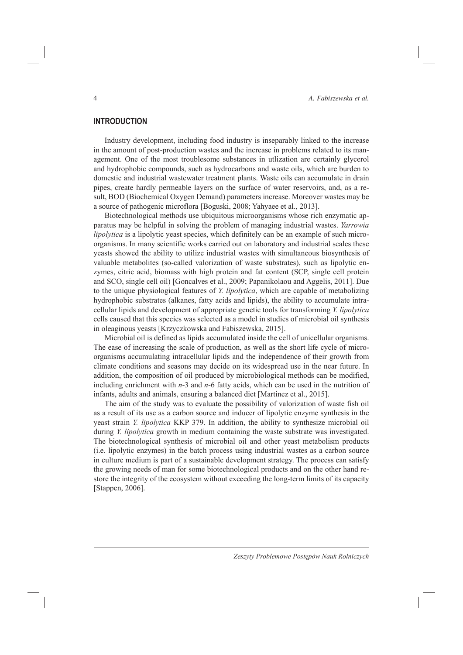### **INTRODUCTION**

Industry development, including food industry is inseparably linked to the increase in the amount of post-production wastes and the increase in problems related to its management. One of the most troublesome substances in utlization are certainly glycerol and hydrophobic compounds, such as hydrocarbons and waste oils, which are burden to domestic and industrial wastewater treatment plants. Waste oils can accumulate in drain pipes, create hardly permeable layers on the surface of water reservoirs, and, as a result, BOD (Biochemical Oxygen Demand) parameters increase. Moreover wastes may be a source of pathogenic microflora [Boguski, 2008; Yahyaee et al., 2013].

Biotechnological methods use ubiquitous microorganisms whose rich enzymatic apparatus may be helpful in solving the problem of managing industrial wastes. *Yarrowia lipolytica* is a lipolytic yeast species, which definitely can be an example of such microorganisms. In many scientific works carried out on laboratory and industrial scales these yeasts showed the ability to utilize industrial wastes with simultaneous biosynthesis of valuable metabolites (so-called valorization of waste substrates), such as lipolytic enzymes, citric acid, biomass with high protein and fat content (SCP, single cell protein and SCO, single cell oil) [Goncalves et al., 2009; Papanikolaou and Aggelis, 2011]. Due to the unique physiological features of *Y. lipolytica*, which are capable of metabolizing hydrophobic substrates (alkanes, fatty acids and lipids), the ability to accumulate intracellular lipids and development of appropriate genetic tools for transforming *Y. lipolytica* cells caused that this species was selected as a model in studies of microbial oil synthesis in oleaginous yeasts [Krzyczkowska and Fabiszewska, 2015].

Microbial oil is defined as lipids accumulated inside the cell of unicellular organisms. The ease of increasing the scale of production, as well as the short life cycle of microorganisms accumulating intracellular lipids and the independence of their growth from climate conditions and seasons may decide on its widespread use in the near future. In addition, the composition of oil produced by microbiological methods can be modified, including enrichment with *n*-3 and *n*-6 fatty acids, which can be used in the nutrition of infants, adults and animals, ensuring a balanced diet [Martinez et al., 2015].

The aim of the study was to evaluate the possibility of valorization of waste fish oil as a result of its use as a carbon source and inducer of lipolytic enzyme synthesis in the yeast strain *Y. lipolytica* KKP 379. In addition, the ability to synthesize microbial oil during *Y. lipolytica* growth in medium containing the waste substrate was investigated. The biotechnological synthesis of microbial oil and other yeast metabolism products (i.e. lipolytic enzymes) in the batch process using industrial wastes as a carbon source in culture medium is part of a sustainable development strategy. The process can satisfy the growing needs of man for some biotechnological products and on the other hand restore the integrity of the ecosystem without exceeding the long-term limits of its capacity [Stappen, 2006].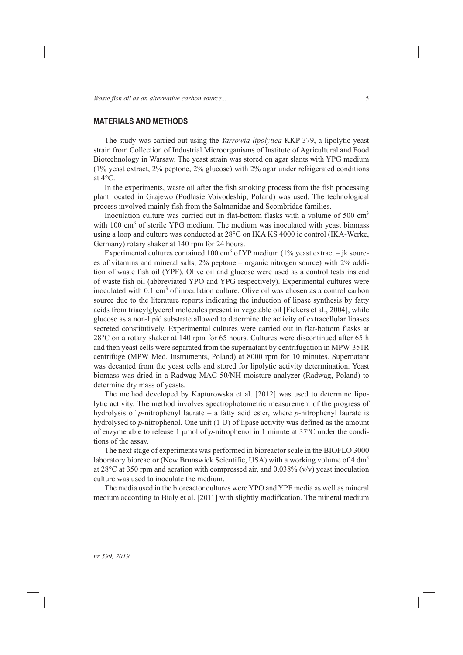*Waste fish oil as an alternative carbon source...* 5

#### **MATERIALS AND METHODS**

The study was carried out using the *Yarrowia lipolytica* KKP 379, a lipolytic yeast strain from Collection of Industrial Microorganisms of Institute of Agricultural and Food Biotechnology in Warsaw. The yeast strain was stored on agar slants with YPG medium (1% yeast extract, 2% peptone, 2% glucose) with 2% agar under refrigerated conditions at 4°C.

In the experiments, waste oil after the fish smoking process from the fish processing plant located in Grajewo (Podlasie Voivodeship, Poland) was used. The technological process involved mainly fish from the Salmonidae and Scombridae families.

Inoculation culture was carried out in flat-bottom flasks with a volume of 500 cm<sup>3</sup> with 100 cm<sup>3</sup> of sterile YPG medium. The medium was inoculated with yeast biomass using a loop and culture was conducted at 28°C on IKA KS 4000 ic control (IKA-Werke, Germany) rotary shaker at 140 rpm for 24 hours.

Experimental cultures contained 100 cm<sup>3</sup> of YP medium (1% yeast extract – jk sources of vitamins and mineral salts, 2% peptone – organic nitrogen source) with 2% addition of waste fish oil (YPF). Olive oil and glucose were used as a control tests instead of waste fish oil (abbreviated YPO and YPG respectively). Experimental cultures were inoculated with 0.1 cm<sup>3</sup> of inoculation culture. Olive oil was chosen as a control carbon source due to the literature reports indicating the induction of lipase synthesis by fatty acids from triacylglycerol molecules present in vegetable oil [Fickers et al., 2004], while glucose as a non-lipid substrate allowed to determine the activity of extracellular lipases secreted constitutively. Experimental cultures were carried out in flat-bottom flasks at 28°C on a rotary shaker at 140 rpm for 65 hours. Cultures were discontinued after 65 h and then yeast cells were separated from the supernatant by centrifugation in MPW-351R centrifuge (MPW Med. Instruments, Poland) at 8000 rpm for 10 minutes. Supernatant was decanted from the yeast cells and stored for lipolytic activity determination. Yeast biomass was dried in a Radwag MAC 50/NH moisture analyzer (Radwag, Poland) to determine dry mass of yeasts.

The method developed by Kapturowska et al. [2012] was used to determine lipolytic activity. The method involves spectrophotometric measurement of the progress of hydrolysis of *p*-nitrophenyl laurate – a fatty acid ester, where *p*-nitrophenyl laurate is hydrolysed to *p*-nitrophenol. One unit (1 U) of lipase activity was defined as the amount of enzyme able to release 1  $\mu$ mol of *p*-nitrophenol in 1 minute at 37°C under the conditions of the assay.

The next stage of experiments was performed in bioreactor scale in the BIOFLO 3000 laboratory bioreactor (New Brunswick Scientific, USA) with a working volume of 4 dm<sup>3</sup> at 28 $\degree$ C at 350 rpm and aeration with compressed air, and 0,038% (v/v) yeast inoculation culture was used to inoculate the medium.

The media used in the bioreactor cultures were YPO and YPF media as well as mineral medium according to Bialy et al. [2011] with slightly modification. The mineral medium

*nr 599, 2019*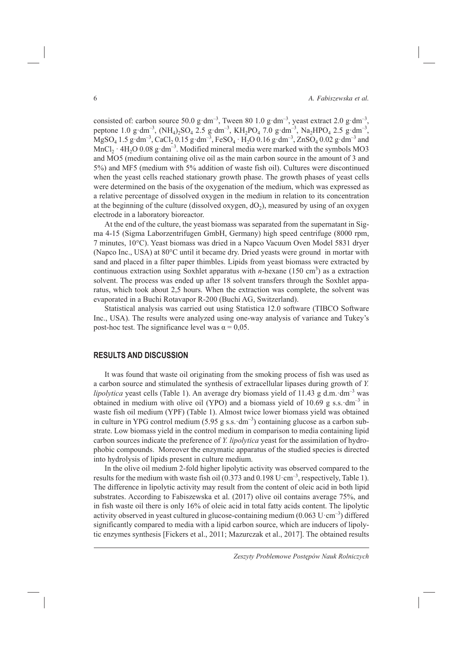consisted of: carbon source 50.0 g·dm<sup>-3</sup>, Tween 80 1.0 g·dm<sup>-3</sup>, yeast extract 2.0 g·dm<sup>-3</sup>, peptone 1.0 g·dm<sup>-3</sup>,  $(NH_4)_2SO_4$  2.5 g·dm<sup>-3</sup>,  $KH_2PO_4$  7.0 g·dm<sup>-3</sup>,  $Na_2HPO_4$  2.5 g·dm<sup>-3</sup>,  $MgSO_4$  1.5 g·dm<sup>-3</sup>, CaCl<sub>2</sub> 0.15 g·dm<sup>-3</sup>, FeSO<sub>4</sub> · H<sub>2</sub>O 0.16 g·dm<sup>-3</sup>, ZnSO<sub>4</sub> 0.02 g·dm<sup>-3</sup> and MnCl<sub>2</sub> · 4H<sub>2</sub>O 0.08 g·dm<sup>-3</sup>. Modified mineral media were marked with the symbols MO3 and MO5 (medium containing olive oil as the main carbon source in the amount of 3 and 5%) and MF5 (medium with 5% addition of waste fish oil). Cultures were discontinued when the yeast cells reached stationary growth phase. The growth phases of yeast cells were determined on the basis of the oxygenation of the medium, which was expressed as a relative percentage of dissolved oxygen in the medium in relation to its concentration at the beginning of the culture (dissolved oxygen,  $dO<sub>2</sub>$ ), measured by using of an oxygen electrode in a laboratory bioreactor.

At the end of the culture, the yeast biomass was separated from the supernatant in Sigma 4-15 (Sigma Laborzentrifugen GmbH, Germany) high speed centrifuge (8000 rpm, 7 minutes, 10°C). Yeast biomass was dried in a Napco Vacuum Oven Model 5831 dryer (Napco Inc., USA) at 80°C until it became dry. Dried yeasts were ground in mortar with sand and placed in a filter paper thimbles. Lipids from yeast biomass were extracted by continuous extraction using Soxhlet apparatus with  $n$ -hexane (150 cm<sup>3</sup>) as a extraction solvent. The process was ended up after 18 solvent transfers through the Soxhlet apparatus, which took about 2,5 hours. When the extraction was complete, the solvent was evaporated in a Buchi Rotavapor R-200 (Buchi AG, Switzerland).

Statistical analysis was carried out using Statistica 12.0 software (TIBCO Software Inc., USA). The results were analyzed using one-way analysis of variance and Tukey's post-hoc test. The significance level was  $\alpha = 0.05$ .

### **RESULTS AND DISCUSSION**

It was found that waste oil originating from the smoking process of fish was used as a carbon source and stimulated the synthesis of extracellular lipases during growth of *Y. lipolytica* yeast cells (Table 1). An average dry biomass yield of 11.43 g d.m. dm<sup>-3</sup> was obtained in medium with olive oil (YPO) and a biomass yield of  $10.69$  g s.s.  $dm^{-3}$  in waste fish oil medium (YPF) (Table 1). Almost twice lower biomass yield was obtained in culture in YPG control medium (5.95 g s.s. dm<sup>-3</sup>) containing glucose as a carbon substrate. Low biomass yield in the control medium in comparison to media containing lipid carbon sources indicate the preference of *Y. lipolytica* yeast for the assimilation of hydrophobic compounds. Moreover the enzymatic apparatus of the studied species is directed into hydrolysis of lipids present in culture medium.

In the olive oil medium 2-fold higher lipolytic activity was observed compared to the results for the medium with waste fish oil  $(0.373 \text{ and } 0.198 \text{ U} \cdot \text{cm}^{-3})$ , respectively, Table 1). The difference in lipolytic activity may result from the content of oleic acid in both lipid substrates. According to Fabiszewska et al. (2017) olive oil contains average 75%, and in fish waste oil there is only 16% of oleic acid in total fatty acids content. The lipolytic activity observed in yeast cultured in glucose-containing medium  $(0.063 \text{ U} \cdot \text{cm}^{-3})$  differed significantly compared to media with a lipid carbon source, which are inducers of lipolytic enzymes synthesis [Fickers et al., 2011; Mazurczak et al., 2017]. The obtained results

*Zeszyty Problemowe Postępów Nauk Rolniczych*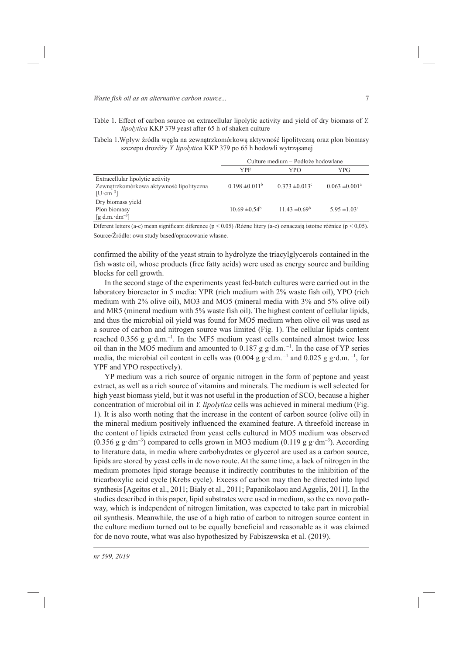Table 1. Effect of carbon source on extracellular lipolytic activity and yield of dry biomass of *Y. lipolytica* KKP 379 yeast after 65 h of shaken culture

Tabela 1.Wpływ źródła węgla na zewnątrzkomórkową aktywność lipolityczną oraz plon biomasy szczepu drożdży *Y. lipolytica* KKP 379 po 65 h hodowli wytrząsanej

|                                                                                                     | Culture medium – Podłoże hodowlane |                     |                              |
|-----------------------------------------------------------------------------------------------------|------------------------------------|---------------------|------------------------------|
|                                                                                                     | <b>YPF</b>                         | YPO                 | YPG                          |
| Extracellular lipolytic activity<br>Zewnątrzkomórkowa aktywność lipolityczna<br>$[U \cdot cm^{-3}]$ | $0.198 \pm 0.011^b$                | $0.373 \pm 0.013$ ° | $0.063 \pm 0.001^{\text{a}}$ |
| Dry biomass yield<br>Plon biomasy<br>[g d.m. dm <sup>-3</sup> ]                                     | $10.69 \pm 0.54^b$                 | $11.43 \pm 0.69^b$  | $5.95 \pm 1.03^a$            |

Diferent letters (a-c) mean significant diference (p < 0.05) /Różne litery (a-c) oznaczają istotne różnice (p < 0.05). Source/Źródło: own study based/opracowanie własne.

confirmed the ability of the yeast strain to hydrolyze the triacylglycerols contained in the fish waste oil, whose products (free fatty acids) were used as energy source and building blocks for cell growth.

In the second stage of the experiments yeast fed-batch cultures were carried out in the laboratory bioreactor in 5 media: YPR (rich medium with 2% waste fish oil), YPO (rich medium with 2% olive oil), MO3 and MO5 (mineral media with 3% and 5% olive oil) and MR5 (mineral medium with 5% waste fish oil). The highest content of cellular lipids, and thus the microbial oil yield was found for MO5 medium when olive oil was used as a source of carbon and nitrogen source was limited (Fig. 1). The cellular lipids content reached 0.356 g g·d.m.<sup>-1</sup>. In the MF5 medium yeast cells contained almost twice less oil than in the MO5 medium and amounted to  $0.187$  g g·d.m.<sup> $-1$ </sup>. In the case of YP series media, the microbial oil content in cells was  $(0.004 \text{ g g} \cdot d.m.^{-1}$  and  $0.025 \text{ g g} \cdot d.m.^{-1}$ , for YPF and YPO respectively).

YP medium was a rich source of organic nitrogen in the form of peptone and yeast extract, as well as a rich source of vitamins and minerals. The medium is well selected for high yeast biomass yield, but it was not useful in the production of SCO, because a higher concentration of microbial oil in *Y. lipolytica* cells was achieved in mineral medium (Fig. 1). It is also worth noting that the increase in the content of carbon source (olive oil) in the mineral medium positively influenced the examined feature. A threefold increase in the content of lipids extracted from yeast cells cultured in MO5 medium was observed  $(0.356 \text{ g g} \cdot \text{dm}^{-3})$  compared to cells grown in MO3 medium  $(0.119 \text{ g g} \cdot \text{dm}^{-3})$ . According to literature data, in media where carbohydrates or glycerol are used as a carbon source, lipids are stored by yeast cells in de novo route. At the same time, a lack of nitrogen in the medium promotes lipid storage because it indirectly contributes to the inhibition of the tricarboxylic acid cycle (Krebs cycle). Excess of carbon may then be directed into lipid synthesis [Ageitos et al., 2011; Bialy et al., 2011; Papanikolaou and Aggelis, 2011]. In the studies described in this paper, lipid substrates were used in medium, so the ex novo pathway, which is independent of nitrogen limitation, was expected to take part in microbial oil synthesis. Meanwhile, the use of a high ratio of carbon to nitrogen source content in the culture medium turned out to be equally beneficial and reasonable as it was claimed for de novo route, what was also hypothesized by Fabiszewska et al. (2019).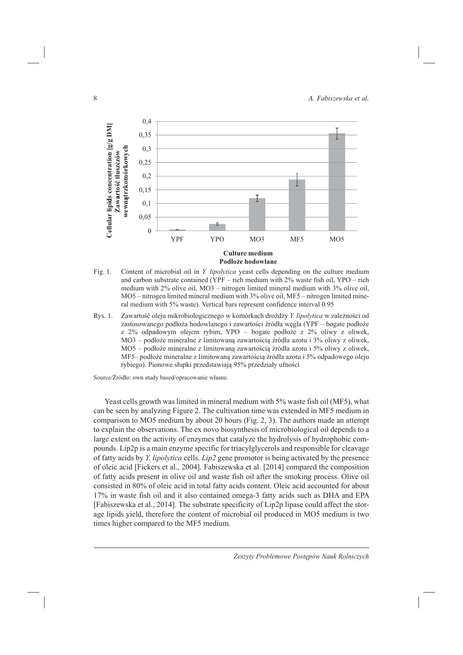

- Fig. 1.Content of microbial oil in *Y. lipolytica* yeast cells depending on the culture medium and carbon substrate contained (YPF – rich medium with 2% waste fish oil, YPO – rich medium with 2% olive oil, MO3 – nitrogen limited mineral medium with 3% olive oil, MO5 – nitrogen limited mineral medium with 3% olive oil, MF5 – nitrogen limited mineral medium with 5% waste). Vertical bars represent confidence interval 0.95
- Rys. 1. Zawartość oleju mikrobiologicznego w komórkach drożdży *Y. lipolytica* w zależności od zastosowanego podłoża hodowlanego i zawartości źródła węgla (YPF – bogate podłoże z 2% odpadowym olejem rybim, YPO – bogate podłoże z 2% oliwy z oliwek, MO3 – podłoże mineralne z limitowaną zawartością źródła azotu i 3% oliwy z oliwek, MO5 – podłoże mineralne z limitowaną zawartością źródła azotu i 5% oliwy z oliwek, MF5– podłoże mineralne z limitowaną zawartością źródła azotu i 5% odpadowego oleju rybiego). Pionowe słupki przedstawiają 95% przedziały ufności

Source/Źródło: own study based/opracowanie własne.

Yeast cells growth was limited in mineral medium with 5% waste fish oil (MF5), what can be seen by analyzing Figure 2. The cultivation time was extended in MF5 medium in comparison to MO5 medium by about 20 hours (Fig. 2, 3). The authors made an attempt to explain the observations. The ex novo biosynthesis of microbiological oil depends to a large extent on the activity of enzymes that catalyze the hydrolysis of hydrophobic compounds. Lip2p is a main enzyme specific for triacylglycerols and responsible for cleavage of fatty acids by *Y. lipolytica* cells. *Lip2* gene promotor is being activated by the presence of oleic acid [Fickers et al., 2004]. Fabiszewska et al. [2014] compared the composition of fatty acids present in olive oil and waste fish oil after the smoking process. Olive oil consisted in 80% of oleic acid in total fatty acids content. Oleic acid accounted for about 17% in waste fish oil and it also contained omega-3 fatty acids such as DHA and EPA [Fabiszewska et al., 2014]. The substrate specificity of Lip2p lipase could affect the storage lipids yield, therefore the content of microbial oil produced in MO5 medium is two times higher compared to the MF5 medium.

*Zeszyty Problemowe Postępów Nauk Rolniczych*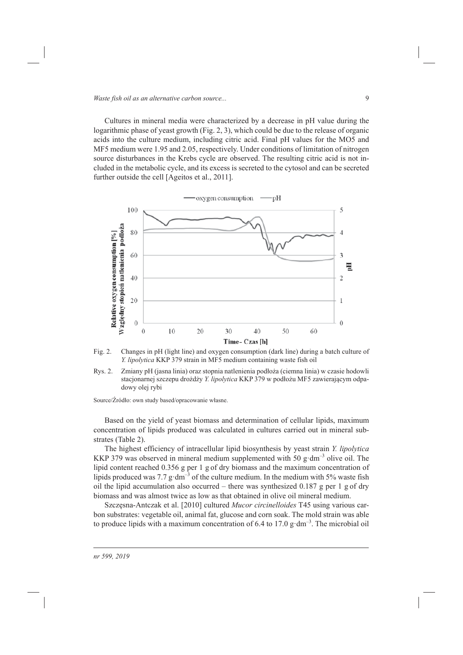Cultures in mineral media were characterized by a decrease in pH value during the logarithmic phase of yeast growth (Fig. 2, 3), which could be due to the release of organic acids into the culture medium, including citric acid. Final pH values for the MO5 and MF5 medium were 1.95 and 2.05, respectively. Under conditions of limitation of nitrogen source disturbances in the Krebs cycle are observed. The resulting citric acid is not included in the metabolic cycle, and its excess is secreted to the cytosol and can be secreted further outside the cell [Ageitos et al., 2011].



Fig. 2. Changes in pH (light line) and oxygen consumption (dark line) during a batch culture of *Y. lipolytica* KKP 379 strain in MF5 medium containing waste fish oil

Source/Źródło: own study based/opracowanie własne.

Based on the yield of yeast biomass and determination of cellular lipids, maximum concentration of lipids produced was calculated in cultures carried out in mineral substrates (Table 2).

The highest efficiency of intracellular lipid biosynthesis by yeast strain *Y. lipolytica* KKP 379 was observed in mineral medium supplemented with 50 g·dm<sup>-3</sup> olive oil. The lipid content reached 0.356 g per 1 g of dry biomass and the maximum concentration of lipids produced was 7.7 g·dm–3 of the culture medium. In the medium with 5% waste fish oil the lipid accumulation also occurred – there was synthesized  $0.187$  g per 1 g of dry biomass and was almost twice as low as that obtained in olive oil mineral medium.

Szczęsna-Antczak et al. [2010] cultured *Mucor circinelloides* T45 using various carbon substrates: vegetable oil, animal fat, glucose and corn soak. The mold strain was able to produce lipids with a maximum concentration of 6.4 to 17.0  $\text{g}\cdot\text{dm}^{-3}$ . The microbial oil

Rys. 2. Zmiany pH (jasna linia) oraz stopnia natlenienia podłoża (ciemna linia) w czasie hodowli stacjonarnej szczepu drożdży *Y. lipolytica* KKP 379 w podłożu MF5 zawierającym odpadowy olej rybi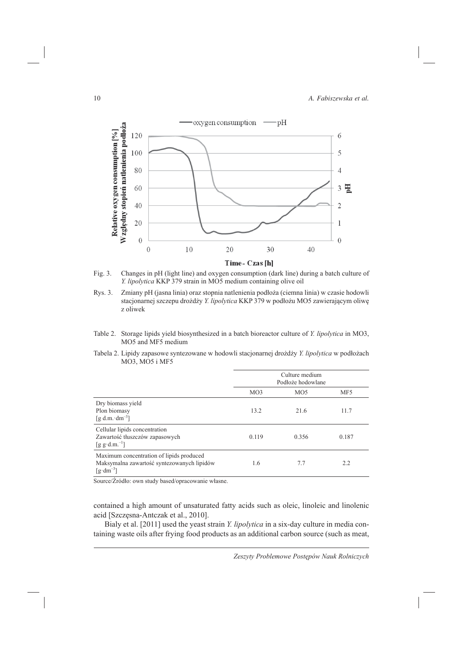

Fig. 3. Changes in pH (light line) and oxygen consumption (dark line) during a batch culture of *Y. lipolytica* KKP 379 strain in MO5 medium containing olive oil

- Rys. 3. Zmiany pH (jasna linia) oraz stopnia natlenienia podłoża (ciemna linia) w czasie hodowli stacjonarnej szczepu drożdży *Y. lipolytica* KKP 379 w podłożu MO5 zawierającym oliwę z oliwek
- Table 2. Storage lipids yield biosynthesized in a batch bioreactor culture of *Y. lipolytica* in MO3, MO5 and MF5 medium

Tabela 2. Lipidy zapasowe syntezowane w hodowli stacjonarnej drożdży *Y. lipolytica* w podłożach MO3, MO5 i MF5

|                                                                                                              | Culture medium<br>Podłoże hodowlane |       |       |
|--------------------------------------------------------------------------------------------------------------|-------------------------------------|-------|-------|
|                                                                                                              | MO3                                 | MO5   | MF5   |
| Dry biomass yield<br>Plon biomasy<br>[g d.m. dm <sup>-3</sup> ]                                              | 13.2                                | 21.6  | 11.7  |
| Cellular lipids concentration<br>Zawartość tłuszczów zapasowych<br>[g g·d.m. <sup>-1</sup> ]                 | 0.119                               | 0.356 | 0.187 |
| Maximum concentration of lipids produced<br>Maksymalna zawartość syntezowanych lipidów<br>$[g\cdot dm^{-3}]$ | 1.6                                 | 7.7   | 2.2   |

Source/Źródło: own study based/opracowanie własne.

contained a high amount of unsaturated fatty acids such as oleic, linoleic and linolenic acid [Szczęsna-Antczak et al., 2010].

Bialy et al. [2011] used the yeast strain *Y. lipolytica* in a six-day culture in media containing waste oils after frying food products as an additional carbon source (such as meat,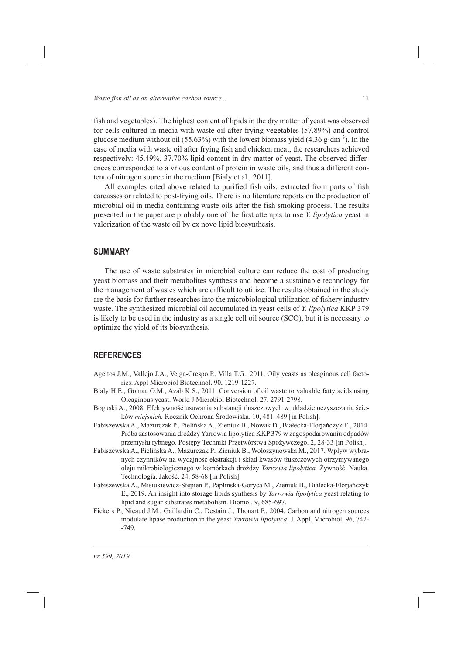fish and vegetables). The highest content of lipids in the dry matter of yeast was observed for cells cultured in media with waste oil after frying vegetables (57.89%) and control glucose medium without oil (55.63%) with the lowest biomass yield  $(4.36 \text{ g} \cdot \text{dm}^{-3})$ . In the case of media with waste oil after frying fish and chicken meat, the researchers achieved respectively: 45.49%, 37.70% lipid content in dry matter of yeast. The observed differences corresponded to a vrious content of protein in waste oils, and thus a different content of nitrogen source in the medium [Bialy et al., 2011].

All examples cited above related to purified fish oils, extracted from parts of fish carcasses or related to post-frying oils. There is no literature reports on the production of microbial oil in media containing waste oils after the fish smoking process. The results presented in the paper are probably one of the first attempts to use *Y. lipolytica* yeast in valorization of the waste oil by ex novo lipid biosynthesis.

## **SUMMARY**

The use of waste substrates in microbial culture can reduce the cost of producing yeast biomass and their metabolites synthesis and become a sustainable technology for the management of wastes which are difficult to utilize. The results obtained in the study are the basis for further researches into the microbiological utilization of fishery industry waste. The synthesized microbial oil accumulated in yeast cells of *Y. lipolytica* KKP 379 is likely to be used in the industry as a single cell oil source (SCO), but it is necessary to optimize the yield of its biosynthesis.

### **REFERENCES**

- Ageitos J.M., Vallejo J.A., Veiga-Crespo P., Villa T.G., 2011. Oily yeasts as oleaginous cell factories. Appl Microbiol Biotechnol. 90, 1219-1227.
- Bialy H.E., Gomaa O.M., Azab K.S., 2011. Conversion of oil waste to valuable fatty acids using Oleaginous yeast. World J Microbiol Biotechnol. 27, 2791-2798.
- Boguski A., 2008. Efektywność usuwania substancji tłuszczowych w układzie oczyszczania ścieków *miejskich.* Rocznik Ochrona ĝrodowiska. 10, 481–489 [in Polish].
- Fabiszewska A., Mazurczak P., Pielińska A., Zieniuk B., Nowak D., Białecka-Florjańczyk E., 2014. Próba zastosowania drożdży Yarrowia lipolytica KKP 379 w zagospodarowaniu odpadów przemysłu rybnego. Postępy Techniki Przetwórstwa Spożywczego. 2, 28-33 [in Polish].
- Fabiszewska A., Pielińska A., Mazurczak P., Zieniuk B., Wołoszynowska M., 2017. Wpływ wybranych czynników na wydajność ekstrakcji i skład kwasów tłuszczowych otrzymywanego oleju mikrobiologicznego w komórkach drożdży *Yarrowia lipolytica*. Żywność. Nauka. Technologia. Jakość. 24, 58-68 [in Polish].
- Fabiszewska A., Misiukiewicz-Stępień P., Paplińska-Goryca M., Zieniuk B., Białecka-Florjańczyk E., 2019. An insight into storage lipids synthesis by *Yarrowia lipolytica* yeast relating to lipid and sugar substrates metabolism. Biomol. 9, 685-697.
- Fickers P., Nicaud J.M., Gaillardin C., Destain J., Thonart P., 2004. Carbon and nitrogen sources modulate lipase production in the yeast *Yarrowia lipolytica*. J. Appl. Microbiol. 96, 742- -749.

*nr 599, 2019*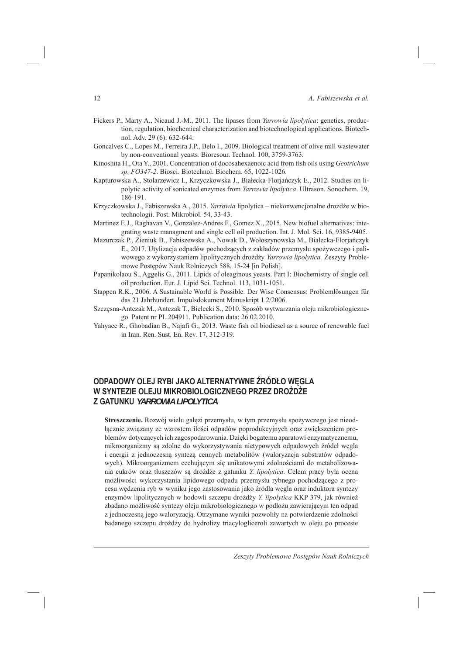#### 12 *A. Fabiszewska et al.*

- Fickers P., Marty A., Nicaud J.-M., 2011. The lipases from *Yarrowia lipolytica*: genetics, production, regulation, biochemical characterization and biotechnological applications. Biotechnol. Adv. 29 (6): 632-644.
- Goncalves C., Lopes M., Ferreira J.P., Belo I., 2009. Biological treatment of olive mill wastewater by non-conventional yeasts*.* Bioresour. Technol. 100, 3759-3763.
- Kinoshita H., Ota Y., 2001. Concentration of docosahexaenoic acid from fish oils using *Geotrichum sp. FO347-2*. Biosci. Biotechnol. Biochem. 65, 1022-1026.
- Kapturowska A., Stolarzewicz I., Krzyczkowska J., Białecka-Florjańczyk E., 2012. Studies on lipolytic activity of sonicated enzymes from *Yarrowia lipolytica*. Ultrason. Sonochem. 19, 186-191.
- Krzyczkowska J., Fabiszewska A., 2015. *Yarrowia* lipolytica niekonwencjonalne drożdże w biotechnologii. Post. Mikrobiol. 54, 33-43.
- Martinez E.J., Raghavan V., Gonzalez-Andres F., Gomez X., 2015. New biofuel alternatives: integrating waste managment and single cell oil production. Int. J. Mol. Sci. 16, 9385-9405.
- Mazurczak P., Zieniuk B., Fabiszewska A., Nowak D., Wołoszynowska M., Białecka-Florjańczyk E., 2017. Utylizacja odpadów pochodzących z zakładów przemysłu spożywczego i paliwowego z wykorzystaniem lipolitycznych drożdży *Yarrowia lipolytica*. Zeszyty Problemowe Postępów Nauk Rolniczych 588, 15-24 [in Polish].
- Papanikolaou S., Aggelis G., 2011. Lipids of oleaginous yeasts. Part I: Biochemistry of single cell oil production. Eur. J. Lipid Sci. Technol. 113, 1031-1051.
- Stappen R.K., 2006. A Sustainable World is Possible. Der Wise Consensus: Problemlösungen für das 21 Jahrhundert. Impulsdokument Manuskript 1.2/2006.
- Szczęsna-Antczak M., Antczak T., Bielecki S., 2010. Sposób wytwarzania oleju mikrobiologicznego. Patent nr PL 204911. Publication data: 26.02.2010.
- Yahyaee R., Ghobadian B., Najafi G., 2013. Waste fish oil biodiesel as a source of renewable fuel in Iran. Ren. Sust. En. Rev. 17, 312-319.

# **ODPADOWY OLEJ RYBI JAKO ALTERNATYWNE ŹRÓDŁO WĘGLA W SYNTEZIE OLEJU MIKROBIOLOGICZNEGO PRZEZ DROŻDŻE Z GATUNKU** *YARROWIA LIPOLYTICA*

Streszczenie. Rozwój wielu gałęzi przemysłu, w tym przemysłu spożywczego jest nieodłącznie związany ze wzrostem ilości odpadów poprodukcyjnych oraz zwiększeniem problemów dotyczących ich zagospodarowania. Dzięki bogatemu aparatowi enzymatycznemu, mikroorganizmy są zdolne do wykorzystywania nietypowych odpadowych źródeł węgla i energii z jednoczesną syntezą cennych metabolitów (waloryzacja substratów odpadowych). Mikroorganizmem cechującym się unikatowymi zdolnościami do metabolizowania cukrów oraz tłuszczów są drożdże z gatunku *Y. lipolytica*. Celem pracy była ocena możliwości wykorzystania lipidowego odpadu przemysłu rybnego pochodzącego z procesu wędzenia ryb w wyniku jego zastosowania jako źródła węgla oraz induktora syntezy enzymów lipolitycznych w hodowli szczepu drożdży *Y. lipolytica* KKP 379, jak również zbadano możliwość syntezy oleju mikrobiologicznego w podłożu zawierającym ten odpad z jednoczesną jego waloryzacją. Otrzymane wyniki pozwoliły na potwierdzenie zdolności badanego szczepu drożdży do hydrolizy triacylogliceroli zawartych w oleju po procesie

*Zeszyty Problemowe Postępów Nauk Rolniczych*